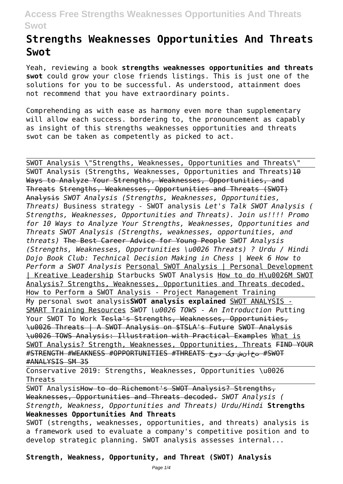# **Strengths Weaknesses Opportunities And Threats Swot**

Yeah, reviewing a book **strengths weaknesses opportunities and threats swot** could grow your close friends listings. This is just one of the solutions for you to be successful. As understood, attainment does not recommend that you have extraordinary points.

Comprehending as with ease as harmony even more than supplementary will allow each success. bordering to, the pronouncement as capably as insight of this strengths weaknesses opportunities and threats swot can be taken as competently as picked to act.

SWOT Analysis \"Strengths, Weaknesses, Opportunities and Threats\" SWOT Analysis (Strengths, Weaknesses, Opportunities and Threats) $10$ Ways to Analyze Your Strengths, Weaknesses, Opportunities, and Threats Strengths, Weaknesses, Opportunities and Threats (SWOT) Analysis *SWOT Analysis (Strengths, Weaknesses, Opportunities, Threats)* Business strategy - SWOT analysis *Let's Talk SWOT Analysis ( Strengths, Weaknesses, Opportunities and Threats). Join us!!!! Promo for 10 Ways to Analyze Your Strengths, Weaknesses, Opportunities and Threats SWOT Analysis (Strengths, weaknesses, opportunities, and threats)* The Best Career Advice for Young People *SWOT Analysis (Strengths, Weaknesses, Opportunities \u0026 Threats) ? Urdu / Hindi Dojo Book Club: Technical Decision Making in Chess | Week 6 How to Perform a SWOT Analysis* Personal SWOT Analysis | Personal Development | Kreative Leadership Starbucks SWOT Analysis How to do H\u0026M SWOT Analysis? Strengths, Weaknesses, Opportunities and Threats decoded. How to Perform a SWOT Analysis - Project Management Training My personal swot analysis**SWOT analysis explained** SWOT ANALYSIS - SMART Training Resources *SWOT \u0026 TOWS - An Introduction* Putting Your SWOT To Work Tesla's Strengths, Weaknesses, Opportunities, \u0026 Threats | A SWOT Analysis on \$TSLA's Future SWOT Analysis \u0026 TOWS Analysis: Illustration with Practical Examples What is SWOT Analysis? Strength, Weaknesses, Opportunities, Threats FIND YOUR #STRENGTH #WEAKNESS #OPPORTUNITIES #THREATS دوخ یک تخانش #SWOT #ANALYSIS SM 35

Conservative 2019: Strengths, Weaknesses, Opportunities \u0026 Threats

SWOT AnalysisHow to do Richemont's SWOT Analysis? Strengths, Weaknesses, Opportunities and Threats decoded. *SWOT Analysis ( Strength, Weakness, Opportunities and Threats) Urdu/Hindi* **Strengths Weaknesses Opportunities And Threats**

SWOT (strengths, weaknesses, opportunities, and threats) analysis is a framework used to evaluate a company's competitive position and to develop strategic planning. SWOT analysis assesses internal...

**Strength, Weakness, Opportunity, and Threat (SWOT) Analysis**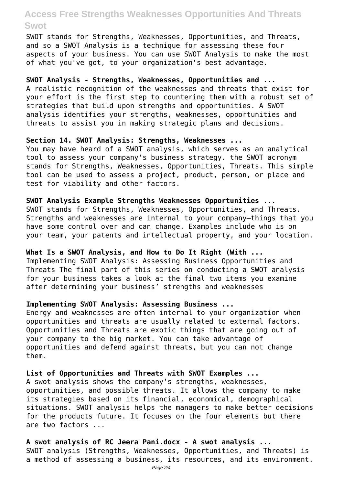SWOT stands for Strengths, Weaknesses, Opportunities, and Threats, and so a SWOT Analysis is a technique for assessing these four aspects of your business. You can use SWOT Analysis to make the most of what you've got, to your organization's best advantage.

#### **SWOT Analysis - Strengths, Weaknesses, Opportunities and ...**

A realistic recognition of the weaknesses and threats that exist for your effort is the first step to countering them with a robust set of strategies that build upon strengths and opportunities. A SWOT analysis identifies your strengths, weaknesses, opportunities and threats to assist you in making strategic plans and decisions.

#### **Section 14. SWOT Analysis: Strengths, Weaknesses ...**

You may have heard of a SWOT analysis, which serves as an analytical tool to assess your company's business strategy. the SWOT acronym stands for Strengths, Weaknesses, Opportunities, Threats. This simple tool can be used to assess a project, product, person, or place and test for viability and other factors.

# **SWOT Analysis Example Strengths Weaknesses Opportunities ...**

SWOT stands for Strengths, Weaknesses, Opportunities, and Threats. Strengths and weaknesses are internal to your company—things that you have some control over and can change. Examples include who is on your team, your patents and intellectual property, and your location.

#### **What Is a SWOT Analysis, and How to Do It Right (With ...**

Implementing SWOT Analysis: Assessing Business Opportunities and Threats The final part of this series on conducting a SWOT analysis for your business takes a look at the final two items you examine after determining your business' strengths and weaknesses

#### **Implementing SWOT Analysis: Assessing Business ...**

Energy and weaknesses are often internal to your organization when opportunities and threats are usually related to external factors. Opportunities and Threats are exotic things that are going out of your company to the big market. You can take advantage of opportunities and defend against threats, but you can not change them.

#### **List of Opportunities and Threats with SWOT Examples ...**

A swot analysis shows the company's strengths, weaknesses, opportunities, and possible threats. It allows the company to make its strategies based on its financial, economical, demographical situations. SWOT analysis helps the managers to make better decisions for the products future. It focuses on the four elements but there are two factors ...

**A swot analysis of RC Jeera Pani.docx - A swot analysis ...** SWOT analysis (Strengths, Weaknesses, Opportunities, and Threats) is a method of assessing a business, its resources, and its environment.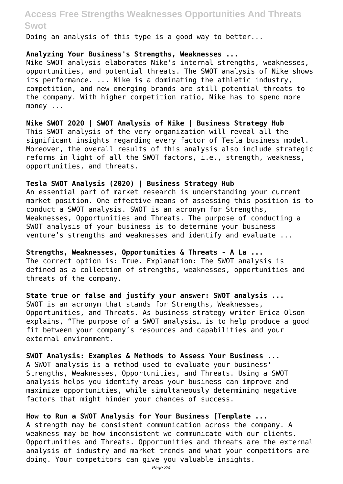Doing an analysis of this type is a good way to better...

#### **Analyzing Your Business's Strengths, Weaknesses ...**

Nike SWOT analysis elaborates Nike's internal strengths, weaknesses, opportunities, and potential threats. The SWOT analysis of Nike shows its performance. ... Nike is a dominating the athletic industry, competition, and new emerging brands are still potential threats to the company. With higher competition ratio, Nike has to spend more money ...

**Nike SWOT 2020 | SWOT Analysis of Nike | Business Strategy Hub** This SWOT analysis of the very organization will reveal all the significant insights regarding every factor of Tesla business model. Moreover, the overall results of this analysis also include strategic reforms in light of all the SWOT factors, i.e., strength, weakness, opportunities, and threats.

#### **Tesla SWOT Analysis (2020) | Business Strategy Hub**

An essential part of market research is understanding your current market position. One effective means of assessing this position is to conduct a SWOT analysis. SWOT is an acronym for Strengths, Weaknesses, Opportunities and Threats. The purpose of conducting a SWOT analysis of your business is to determine your business venture's strengths and weaknesses and identify and evaluate ...

**Strengths, Weaknesses, Opportunities & Threats - A La ...** The correct option is: True. Explanation: The SWOT analysis is defined as a collection of strengths, weaknesses, opportunities and threats of the company.

**State true or false and justify your answer: SWOT analysis ...** SWOT is an acronym that stands for Strengths, Weaknesses, Opportunities, and Threats. As business strategy writer Erica Olson explains, "The purpose of a SWOT analysis… is to help produce a good fit between your company's resources and capabilities and your external environment.

**SWOT Analysis: Examples & Methods to Assess Your Business ...** A SWOT analysis is a method used to evaluate your business' Strengths, Weaknesses, Opportunities, and Threats. Using a SWOT analysis helps you identify areas your business can improve and maximize opportunities, while simultaneously determining negative factors that might hinder your chances of success.

**How to Run a SWOT Analysis for Your Business [Template ...** A strength may be consistent communication across the company. A weakness may be how inconsistent we communicate with our clients. Opportunities and Threats. Opportunities and threats are the external analysis of industry and market trends and what your competitors are doing. Your competitors can give you valuable insights.